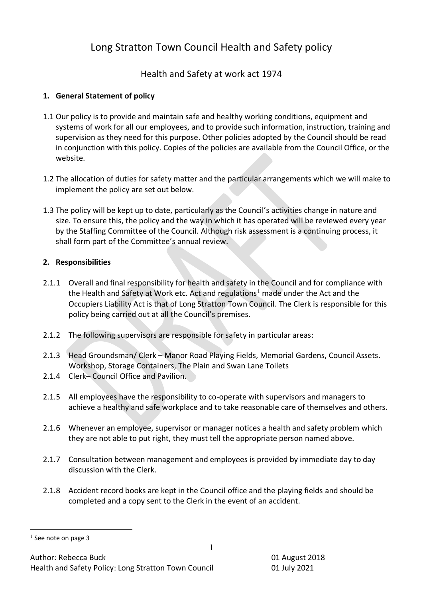# Long Stratton Town Council Health and Safety policy

Health and Safety at work act 1974

# **1. General Statement of policy**

- 1.1 Our policy is to provide and maintain safe and healthy working conditions, equipment and systems of work for all our employees, and to provide such information, instruction, training and supervision as they need for this purpose. Other policies adopted by the Council should be read in conjunction with this policy. Copies of the policies are available from the Council Office, or the website.
- 1.2 The allocation of duties for safety matter and the particular arrangements which we will make to implement the policy are set out below.
- 1.3 The policy will be kept up to date, particularly as the Council's activities change in nature and size. To ensure this, the policy and the way in which it has operated will be reviewed every year by the Staffing Committee of the Council. Although risk assessment is a continuing process, it shall form part of the Committee's annual review.

# **2. Responsibilities**

- 2.1.1 Overall and final responsibility for health and safety in the Council and for compliance with the Health and Safety at Work etc. Act and regulations<sup>1</sup> made under the Act and the Occupiers Liability Act is that of Long Stratton Town Council. The Clerk is responsible for this policy being carried out at all the Council's premises.
- 2.1.2 The following supervisors are responsible for safety in particular areas:
- 2.1.3 Head Groundsman/ Clerk Manor Road Playing Fields, Memorial Gardens, Council Assets. Workshop, Storage Containers, The Plain and Swan Lane Toilets
- 2.1.4 Clerk– Council Office and Pavilion.
- 2.1.5 All employees have the responsibility to co-operate with supervisors and managers to achieve a healthy and safe workplace and to take reasonable care of themselves and others.
- 2.1.6 Whenever an employee, supervisor or manager notices a health and safety problem which they are not able to put right, they must tell the appropriate person named above.
- 2.1.7 Consultation between management and employees is provided by immediate day to day discussion with the Clerk.
- 2.1.8 Accident record books are kept in the Council office and the playing fields and should be completed and a copy sent to the Clerk in the event of an accident.

<sup>&</sup>lt;sup>1</sup> See note on page 3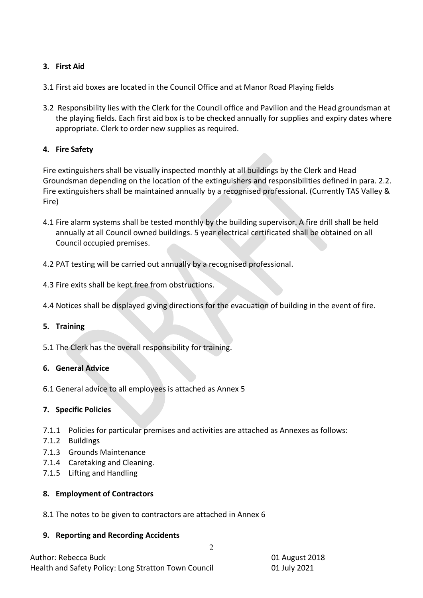# **3. First Aid**

- 3.1 First aid boxes are located in the Council Office and at Manor Road Playing fields
- 3.2 Responsibility lies with the Clerk for the Council office and Pavilion and the Head groundsman at the playing fields. Each first aid box is to be checked annually for supplies and expiry dates where appropriate. Clerk to order new supplies as required.

# **4. Fire Safety**

Fire extinguishers shall be visually inspected monthly at all buildings by the Clerk and Head Groundsman depending on the location of the extinguishers and responsibilities defined in para. 2.2. Fire extinguishers shall be maintained annually by a recognised professional. (Currently TAS Valley & Fire)

- 4.1 Fire alarm systems shall be tested monthly by the building supervisor. A fire drill shall be held annually at all Council owned buildings. 5 year electrical certificated shall be obtained on all Council occupied premises.
- 4.2 PAT testing will be carried out annually by a recognised professional.
- 4.3 Fire exits shall be kept free from obstructions.
- 4.4 Notices shall be displayed giving directions for the evacuation of building in the event of fire.

## **5. Training**

5.1 The Clerk has the overall responsibility for training.

## **6. General Advice**

6.1 General advice to all employees is attached as Annex 5

## **7. Specific Policies**

- 7.1.1 Policies for particular premises and activities are attached as Annexes as follows:
- 7.1.2 Buildings
- 7.1.3 Grounds Maintenance
- 7.1.4 Caretaking and Cleaning.
- 7.1.5 Lifting and Handling

## **8. Employment of Contractors**

8.1 The notes to be given to contractors are attached in Annex 6

#### **9. Reporting and Recording Accidents**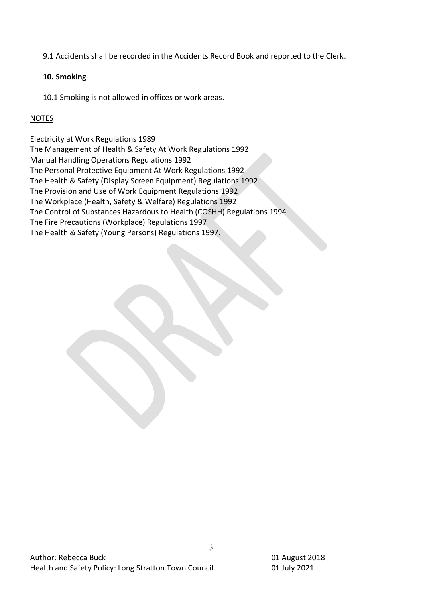9.1 Accidents shall be recorded in the Accidents Record Book and reported to the Clerk.

# **10. Smoking**

10.1 Smoking is not allowed in offices or work areas.

# NOTES

Electricity at Work Regulations 1989 The Management of Health & Safety At Work Regulations 1992 Manual Handling Operations Regulations 1992 The Personal Protective Equipment At Work Regulations 1992 The Health & Safety (Display Screen Equipment) Regulations 1992 The Provision and Use of Work Equipment Regulations 1992 The Workplace (Health, Safety & Welfare) Regulations 1992 The Control of Substances Hazardous to Health (COSHH) Regulations 1994 The Fire Precautions (Workplace) Regulations 1997 The Health & Safety (Young Persons) Regulations 1997.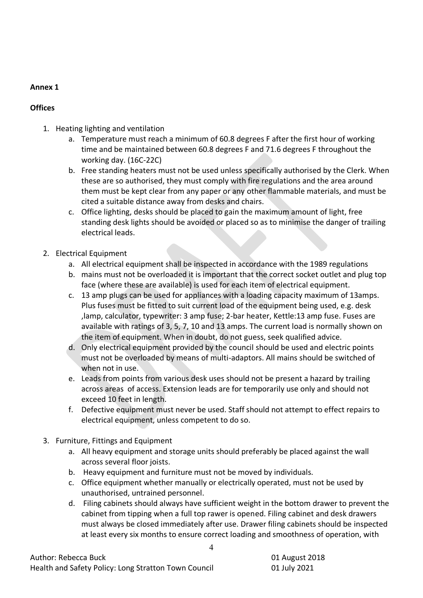# **Offices**

- 1. Heating lighting and ventilation
	- a. Temperature must reach a minimum of 60.8 degrees F after the first hour of working time and be maintained between 60.8 degrees F and 71.6 degrees F throughout the working day. (16C-22C)
	- b. Free standing heaters must not be used unless specifically authorised by the Clerk. When these are so authorised, they must comply with fire regulations and the area around them must be kept clear from any paper or any other flammable materials, and must be cited a suitable distance away from desks and chairs.
	- c. Office lighting, desks should be placed to gain the maximum amount of light, free standing desk lights should be avoided or placed so as to minimise the danger of trailing electrical leads.
- 2. Electrical Equipment
	- a. All electrical equipment shall be inspected in accordance with the 1989 regulations
	- b. mains must not be overloaded it is important that the correct socket outlet and plug top face (where these are available) is used for each item of electrical equipment.
	- c. 13 amp plugs can be used for appliances with a loading capacity maximum of 13amps. Plus fuses must be fitted to suit current load of the equipment being used, e.g. desk ,lamp, calculator, typewriter: 3 amp fuse; 2-bar heater, Kettle:13 amp fuse. Fuses are available with ratings of 3, 5, 7, 10 and 13 amps. The current load is normally shown on the item of equipment. When in doubt, do not guess, seek qualified advice.
	- d. Only electrical equipment provided by the council should be used and electric points must not be overloaded by means of multi-adaptors. All mains should be switched of when not in use.
	- e. Leads from points from various desk uses should not be present a hazard by trailing across areas of access. Extension leads are for temporarily use only and should not exceed 10 feet in length.
	- f. Defective equipment must never be used. Staff should not attempt to effect repairs to electrical equipment, unless competent to do so.
- 3. Furniture, Fittings and Equipment
	- a. All heavy equipment and storage units should preferably be placed against the wall across several floor joists.
	- b. Heavy equipment and furniture must not be moved by individuals.
	- c. Office equipment whether manually or electrically operated, must not be used by unauthorised, untrained personnel.

4

d. Filing cabinets should always have sufficient weight in the bottom drawer to prevent the cabinet from tipping when a full top rawer is opened. Filing cabinet and desk drawers must always be closed immediately after use. Drawer filing cabinets should be inspected at least every six months to ensure correct loading and smoothness of operation, with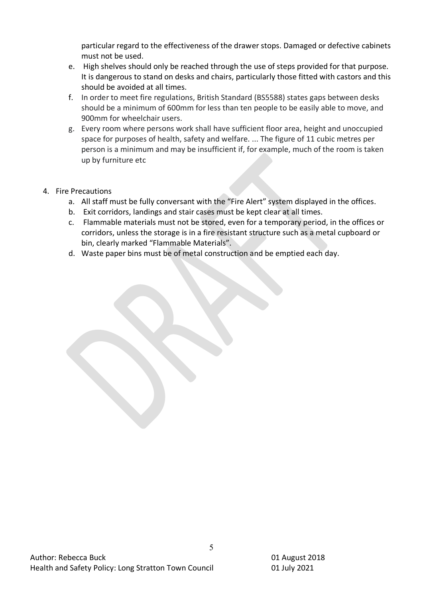particular regard to the effectiveness of the drawer stops. Damaged or defective cabinets must not be used.

- e. High shelves should only be reached through the use of steps provided for that purpose. It is dangerous to stand on desks and chairs, particularly those fitted with castors and this should be avoided at all times.
- f. In order to meet fire regulations, British Standard (BS5588) states gaps between desks should be a minimum of 600mm for less than ten people to be easily able to move, and 900mm for wheelchair users.
- g. Every room where persons work shall have sufficient floor area, height and unoccupied space for purposes of health, safety and welfare. ... The figure of 11 cubic metres per person is a minimum and may be insufficient if, for example, much of the room is taken up by furniture etc

# 4. Fire Precautions

- a. All staff must be fully conversant with the "Fire Alert" system displayed in the offices.
- b. Exit corridors, landings and stair cases must be kept clear at all times.
- c. Flammable materials must not be stored, even for a temporary period, in the offices or corridors, unless the storage is in a fire resistant structure such as a metal cupboard or bin, clearly marked "Flammable Materials".
- d. Waste paper bins must be of metal construction and be emptied each day.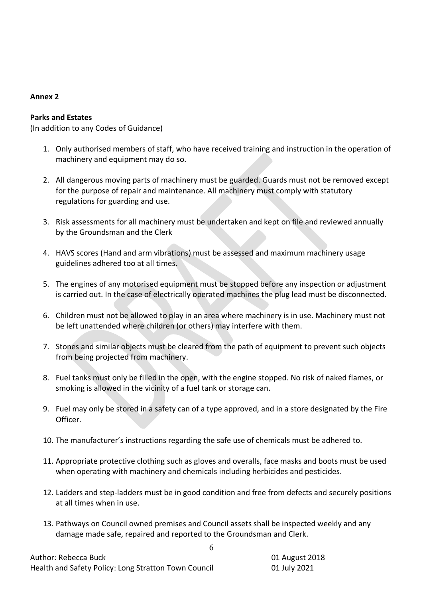## **Parks and Estates**

(In addition to any Codes of Guidance)

- 1. Only authorised members of staff, who have received training and instruction in the operation of machinery and equipment may do so.
- 2. All dangerous moving parts of machinery must be guarded. Guards must not be removed except for the purpose of repair and maintenance. All machinery must comply with statutory regulations for guarding and use.
- 3. Risk assessments for all machinery must be undertaken and kept on file and reviewed annually by the Groundsman and the Clerk
- 4. HAVS scores (Hand and arm vibrations) must be assessed and maximum machinery usage guidelines adhered too at all times.
- 5. The engines of any motorised equipment must be stopped before any inspection or adjustment is carried out. In the case of electrically operated machines the plug lead must be disconnected.
- 6. Children must not be allowed to play in an area where machinery is in use. Machinery must not be left unattended where children (or others) may interfere with them.
- 7. Stones and similar objects must be cleared from the path of equipment to prevent such objects from being projected from machinery.
- 8. Fuel tanks must only be filled in the open, with the engine stopped. No risk of naked flames, or smoking is allowed in the vicinity of a fuel tank or storage can.
- 9. Fuel may only be stored in a safety can of a type approved, and in a store designated by the Fire Officer.
- 10. The manufacturer's instructions regarding the safe use of chemicals must be adhered to.
- 11. Appropriate protective clothing such as gloves and overalls, face masks and boots must be used when operating with machinery and chemicals including herbicides and pesticides.
- 12. Ladders and step-ladders must be in good condition and free from defects and securely positions at all times when in use.
- 13. Pathways on Council owned premises and Council assets shall be inspected weekly and any damage made safe, repaired and reported to the Groundsman and Clerk.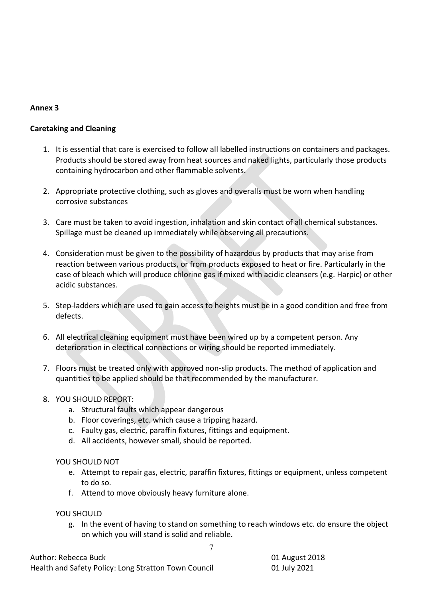## **Caretaking and Cleaning**

- 1. It is essential that care is exercised to follow all labelled instructions on containers and packages. Products should be stored away from heat sources and naked lights, particularly those products containing hydrocarbon and other flammable solvents.
- 2. Appropriate protective clothing, such as gloves and overalls must be worn when handling corrosive substances
- 3. Care must be taken to avoid ingestion, inhalation and skin contact of all chemical substances. Spillage must be cleaned up immediately while observing all precautions.
- 4. Consideration must be given to the possibility of hazardous by products that may arise from reaction between various products, or from products exposed to heat or fire. Particularly in the case of bleach which will produce chlorine gas if mixed with acidic cleansers (e.g. Harpic) or other acidic substances.
- 5. Step-ladders which are used to gain access to heights must be in a good condition and free from defects.
- 6. All electrical cleaning equipment must have been wired up by a competent person. Any deterioration in electrical connections or wiring should be reported immediately.
- 7. Floors must be treated only with approved non-slip products. The method of application and quantities to be applied should be that recommended by the manufacturer.
- 8. YOU SHOULD REPORT:
	- a. Structural faults which appear dangerous
	- b. Floor coverings, etc. which cause a tripping hazard.
	- c. Faulty gas, electric, paraffin fixtures, fittings and equipment.
	- d. All accidents, however small, should be reported.

## YOU SHOULD NOT

- e. Attempt to repair gas, electric, paraffin fixtures, fittings or equipment, unless competent to do so.
- f. Attend to move obviously heavy furniture alone.

## YOU SHOULD

g. In the event of having to stand on something to reach windows etc. do ensure the object on which you will stand is solid and reliable.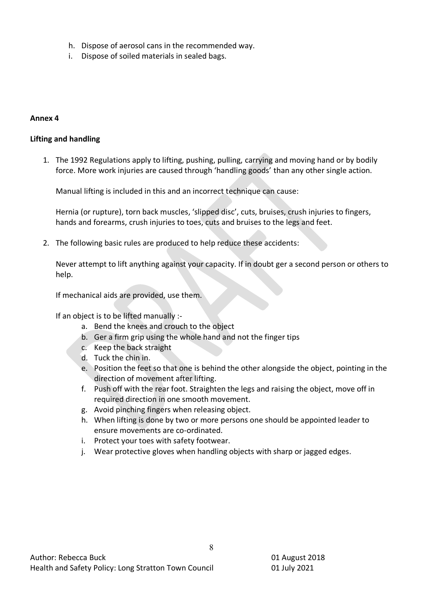- h. Dispose of aerosol cans in the recommended way.
- i. Dispose of soiled materials in sealed bags.

#### **Lifting and handling**

1. The 1992 Regulations apply to lifting, pushing, pulling, carrying and moving hand or by bodily force. More work injuries are caused through 'handling goods' than any other single action.

Manual lifting is included in this and an incorrect technique can cause:

Hernia (or rupture), torn back muscles, 'slipped disc', cuts, bruises, crush injuries to fingers, hands and forearms, crush injuries to toes, cuts and bruises to the legs and feet.

2. The following basic rules are produced to help reduce these accidents:

Never attempt to lift anything against your capacity. If in doubt ger a second person or others to help.

If mechanical aids are provided, use them.

If an object is to be lifted manually :-

- a. Bend the knees and crouch to the object
- b. Ger a firm grip using the whole hand and not the finger tips
- c. Keep the back straight
- d. Tuck the chin in.
- e. Position the feet so that one is behind the other alongside the object, pointing in the direction of movement after lifting.
- f. Push off with the rear foot. Straighten the legs and raising the object, move off in required direction in one smooth movement.
- g. Avoid pinching fingers when releasing object.
- h. When lifting is done by two or more persons one should be appointed leader to ensure movements are co-ordinated.
- i. Protect your toes with safety footwear.
- j. Wear protective gloves when handling objects with sharp or jagged edges.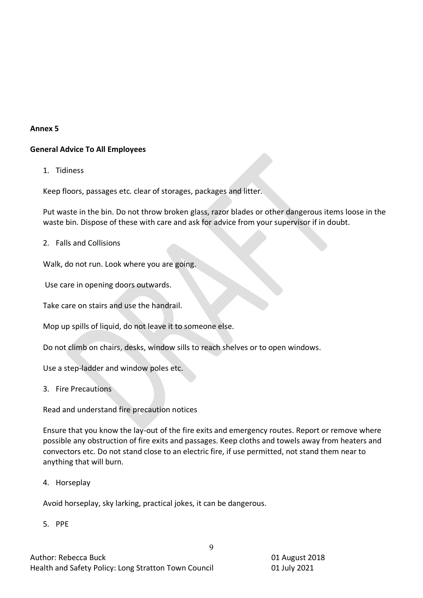# **General Advice To All Employees**

1. Tidiness

Keep floors, passages etc. clear of storages, packages and litter.

Put waste in the bin. Do not throw broken glass, razor blades or other dangerous items loose in the waste bin. Dispose of these with care and ask for advice from your supervisor if in doubt.

2. Falls and Collisions

Walk, do not run. Look where you are going.

Use care in opening doors outwards.

Take care on stairs and use the handrail.

Mop up spills of liquid, do not leave it to someone else.

Do not climb on chairs, desks, window sills to reach shelves or to open windows.

Use a step-ladder and window poles etc.

3. Fire Precautions

Read and understand fire precaution notices

Ensure that you know the lay-out of the fire exits and emergency routes. Report or remove where possible any obstruction of fire exits and passages. Keep cloths and towels away from heaters and convectors etc. Do not stand close to an electric fire, if use permitted, not stand them near to anything that will burn.

9

4. Horseplay

Avoid horseplay, sky larking, practical jokes, it can be dangerous.

5. PPE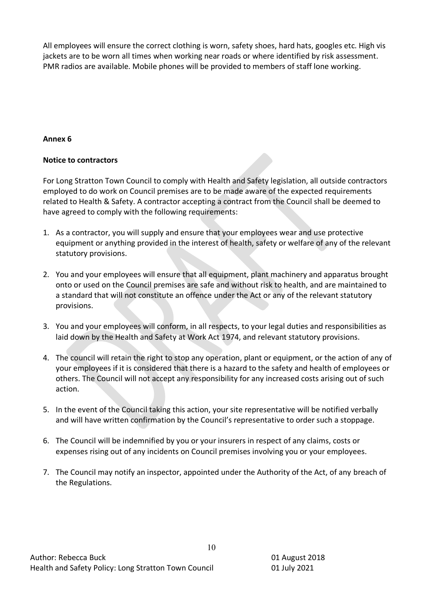All employees will ensure the correct clothing is worn, safety shoes, hard hats, googles etc. High vis jackets are to be worn all times when working near roads or where identified by risk assessment. PMR radios are available. Mobile phones will be provided to members of staff lone working.

## **Annex 6**

## **Notice to contractors**

For Long Stratton Town Council to comply with Health and Safety legislation, all outside contractors employed to do work on Council premises are to be made aware of the expected requirements related to Health & Safety. A contractor accepting a contract from the Council shall be deemed to have agreed to comply with the following requirements:

- 1. As a contractor, you will supply and ensure that your employees wear and use protective equipment or anything provided in the interest of health, safety or welfare of any of the relevant statutory provisions.
- 2. You and your employees will ensure that all equipment, plant machinery and apparatus brought onto or used on the Council premises are safe and without risk to health, and are maintained to a standard that will not constitute an offence under the Act or any of the relevant statutory provisions.
- 3. You and your employees will conform, in all respects, to your legal duties and responsibilities as laid down by the Health and Safety at Work Act 1974, and relevant statutory provisions.
- 4. The council will retain the right to stop any operation, plant or equipment, or the action of any of your employees if it is considered that there is a hazard to the safety and health of employees or others. The Council will not accept any responsibility for any increased costs arising out of such action.
- 5. In the event of the Council taking this action, your site representative will be notified verbally and will have written confirmation by the Council's representative to order such a stoppage.
- 6. The Council will be indemnified by you or your insurers in respect of any claims, costs or expenses rising out of any incidents on Council premises involving you or your employees.
- 7. The Council may notify an inspector, appointed under the Authority of the Act, of any breach of the Regulations.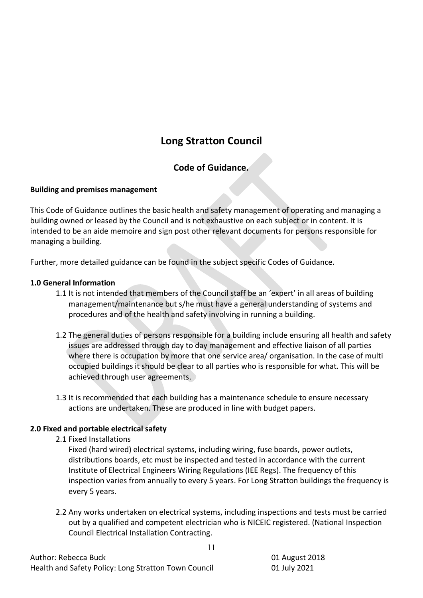# **Long Stratton Council**

# **Code of Guidance.**

## **Building and premises management**

This Code of Guidance outlines the basic health and safety management of operating and managing a building owned or leased by the Council and is not exhaustive on each subject or in content. It is intended to be an aide memoire and sign post other relevant documents for persons responsible for managing a building.

Further, more detailed guidance can be found in the subject specific Codes of Guidance.

## **1.0 General Information**

- 1.1 It is not intended that members of the Council staff be an 'expert' in all areas of building management/maintenance but s/he must have a general understanding of systems and procedures and of the health and safety involving in running a building.
- 1.2 The general duties of persons responsible for a building include ensuring all health and safety issues are addressed through day to day management and effective liaison of all parties where there is occupation by more that one service area/ organisation. In the case of multi occupied buildings it should be clear to all parties who is responsible for what. This will be achieved through user agreements.
- 1.3 It is recommended that each building has a maintenance schedule to ensure necessary actions are undertaken. These are produced in line with budget papers.

# **2.0 Fixed and portable electrical safety**

2.1 Fixed Installations

Fixed (hard wired) electrical systems, including wiring, fuse boards, power outlets, distributions boards, etc must be inspected and tested in accordance with the current Institute of Electrical Engineers Wiring Regulations (IEE Regs). The frequency of this inspection varies from annually to every 5 years. For Long Stratton buildings the frequency is every 5 years.

2.2 Any works undertaken on electrical systems, including inspections and tests must be carried out by a qualified and competent electrician who is NICEIC registered. (National Inspection Council Electrical Installation Contracting.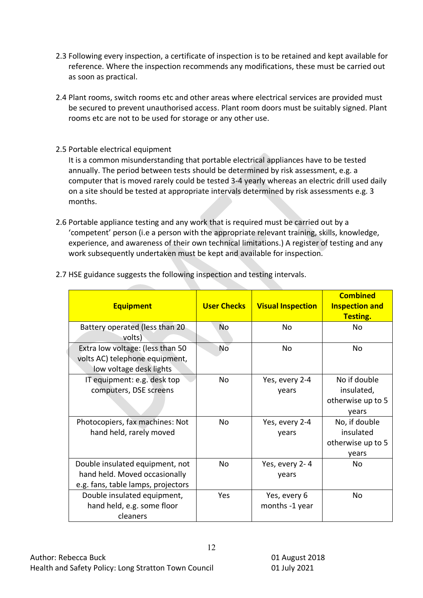- 2.3 Following every inspection, a certificate of inspection is to be retained and kept available for reference. Where the inspection recommends any modifications, these must be carried out as soon as practical.
- 2.4 Plant rooms, switch rooms etc and other areas where electrical services are provided must be secured to prevent unauthorised access. Plant room doors must be suitably signed. Plant rooms etc are not to be used for storage or any other use.
- 2.5 Portable electrical equipment

It is a common misunderstanding that portable electrical appliances have to be tested annually. The period between tests should be determined by risk assessment, e.g. a computer that is moved rarely could be tested 3-4 yearly whereas an electric drill used daily on a site should be tested at appropriate intervals determined by risk assessments e.g. 3 months.

2.6 Portable appliance testing and any work that is required must be carried out by a 'competent' person (i.e a person with the appropriate relevant training, skills, knowledge, experience, and awareness of their own technical limitations.) A register of testing and any work subsequently undertaken must be kept and available for inspection.

| <b>Equipment</b>                                                                                       | <b>User Checks</b> | <b>Visual Inspection</b>       | <b>Combined</b><br><b>Inspection and</b><br><b>Testing.</b> |
|--------------------------------------------------------------------------------------------------------|--------------------|--------------------------------|-------------------------------------------------------------|
| Battery operated (less than 20<br>volts)                                                               | <b>No</b>          | No                             | No                                                          |
| Extra low voltage: (less than 50<br>volts AC) telephone equipment,<br>low voltage desk lights          | No                 | No                             | No.                                                         |
| IT equipment: e.g. desk top<br>computers, DSE screens                                                  | No                 | Yes, every 2-4<br>years        | No if double<br>insulated,<br>otherwise up to 5<br>years    |
| Photocopiers, fax machines: Not<br>hand held, rarely moved                                             | No                 | Yes, every 2-4<br>years        | No, if double<br>insulated<br>otherwise up to 5<br>years    |
| Double insulated equipment, not<br>hand held. Moved occasionally<br>e.g. fans, table lamps, projectors | No                 | Yes, every 2-4<br>years        | <b>No</b>                                                   |
| Double insulated equipment,<br>hand held, e.g. some floor<br>cleaners                                  | Yes                | Yes, every 6<br>months -1 year | No                                                          |

2.7 HSE guidance suggests the following inspection and testing intervals.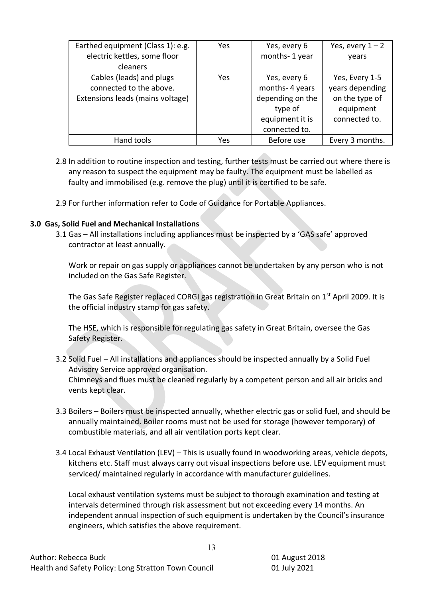| Earthed equipment (Class 1): e.g. | Yes | Yes, every 6     | Yes, every $1 - 2$ |
|-----------------------------------|-----|------------------|--------------------|
| electric kettles, some floor      |     | months-1 year    | years              |
| cleaners                          |     |                  |                    |
| Cables (leads) and plugs          | Yes | Yes, every 6     | Yes, Every 1-5     |
| connected to the above.           |     | months-4 years   | years depending    |
| Extensions leads (mains voltage)  |     | depending on the | on the type of     |
|                                   |     | type of          | equipment          |
|                                   |     | equipment it is  | connected to.      |
|                                   |     | connected to.    |                    |
| Hand tools                        | Yes | Before use       | Every 3 months.    |

- 2.8 In addition to routine inspection and testing, further tests must be carried out where there is any reason to suspect the equipment may be faulty. The equipment must be labelled as faulty and immobilised (e.g. remove the plug) until it is certified to be safe.
- 2.9 For further information refer to Code of Guidance for Portable Appliances.

#### **3.0 Gas, Solid Fuel and Mechanical Installations**

3.1 Gas – All installations including appliances must be inspected by a 'GAS safe' approved contractor at least annually.

Work or repair on gas supply or appliances cannot be undertaken by any person who is not included on the Gas Safe Register.

The Gas Safe Register replaced CORGI gas registration in Great Britain on 1<sup>st</sup> April 2009. It is the official industry stamp for gas safety.

The HSE, which is responsible for regulating gas safety in Great Britain, oversee the Gas Safety Register.

- 3.2 Solid Fuel All installations and appliances should be inspected annually by a Solid Fuel Advisory Service approved organisation. Chimneys and flues must be cleaned regularly by a competent person and all air bricks and vents kept clear.
- 3.3 Boilers Boilers must be inspected annually, whether electric gas or solid fuel, and should be annually maintained. Boiler rooms must not be used for storage (however temporary) of combustible materials, and all air ventilation ports kept clear.
- 3.4 Local Exhaust Ventilation (LEV) This is usually found in woodworking areas, vehicle depots, kitchens etc. Staff must always carry out visual inspections before use. LEV equipment must serviced/ maintained regularly in accordance with manufacturer guidelines.

Local exhaust ventilation systems must be subject to thorough examination and testing at intervals determined through risk assessment but not exceeding every 14 months. An independent annual inspection of such equipment is undertaken by the Council's insurance engineers, which satisfies the above requirement.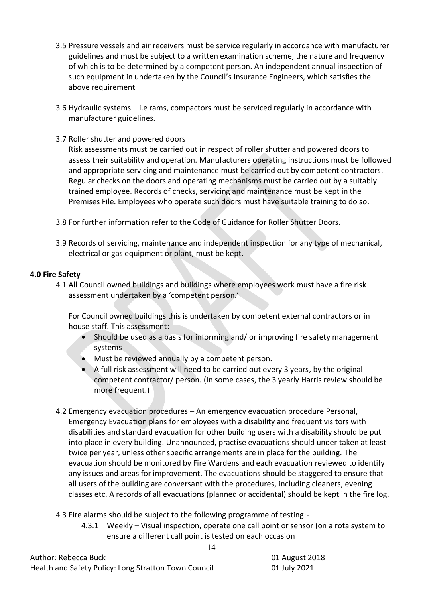- 3.5 Pressure vessels and air receivers must be service regularly in accordance with manufacturer guidelines and must be subject to a written examination scheme, the nature and frequency of which is to be determined by a competent person. An independent annual inspection of such equipment in undertaken by the Council's Insurance Engineers, which satisfies the above requirement
- 3.6 Hydraulic systems i.e rams, compactors must be serviced regularly in accordance with manufacturer guidelines.
- 3.7 Roller shutter and powered doors

Risk assessments must be carried out in respect of roller shutter and powered doors to assess their suitability and operation. Manufacturers operating instructions must be followed and appropriate servicing and maintenance must be carried out by competent contractors. Regular checks on the doors and operating mechanisms must be carried out by a suitably trained employee. Records of checks, servicing and maintenance must be kept in the Premises File. Employees who operate such doors must have suitable training to do so.

- 3.8 For further information refer to the Code of Guidance for Roller Shutter Doors.
- 3.9 Records of servicing, maintenance and independent inspection for any type of mechanical, electrical or gas equipment or plant, must be kept.

## **4.0 Fire Safety**

4.1 All Council owned buildings and buildings where employees work must have a fire risk assessment undertaken by a 'competent person.'

For Council owned buildings this is undertaken by competent external contractors or in house staff. This assessment:

- Should be used as a basis for informing and/ or improving fire safety management systems
- Must be reviewed annually by a competent person.
- A full risk assessment will need to be carried out every 3 years, by the original competent contractor/ person. (In some cases, the 3 yearly Harris review should be more frequent.)
- 4.2 Emergency evacuation procedures An emergency evacuation procedure Personal, Emergency Evacuation plans for employees with a disability and frequent visitors with disabilities and standard evacuation for other building users with a disability should be put into place in every building. Unannounced, practise evacuations should under taken at least twice per year, unless other specific arrangements are in place for the building. The evacuation should be monitored by Fire Wardens and each evacuation reviewed to identify any issues and areas for improvement. The evacuations should be staggered to ensure that all users of the building are conversant with the procedures, including cleaners, evening classes etc. A records of all evacuations (planned or accidental) should be kept in the fire log.
- 4.3 Fire alarms should be subject to the following programme of testing:-
	- 4.3.1 Weekly Visual inspection, operate one call point or sensor (on a rota system to ensure a different call point is tested on each occasion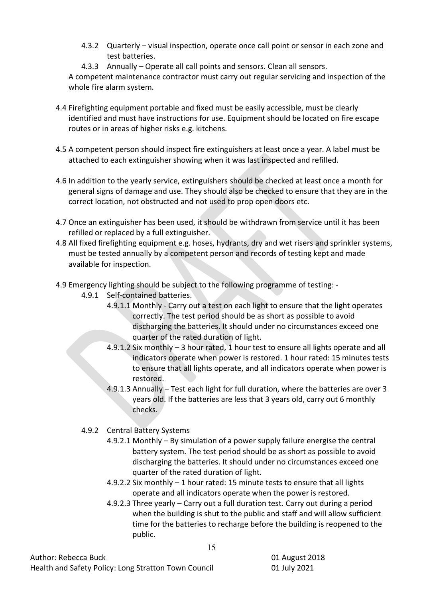- 4.3.2 Quarterly visual inspection, operate once call point or sensor in each zone and test batteries.
- 4.3.3 Annually Operate all call points and sensors. Clean all sensors.

A competent maintenance contractor must carry out regular servicing and inspection of the whole fire alarm system.

- 4.4 Firefighting equipment portable and fixed must be easily accessible, must be clearly identified and must have instructions for use. Equipment should be located on fire escape routes or in areas of higher risks e.g. kitchens.
- 4.5 A competent person should inspect fire extinguishers at least once a year. A label must be attached to each extinguisher showing when it was last inspected and refilled.
- 4.6 In addition to the yearly service, extinguishers should be checked at least once a month for general signs of damage and use. They should also be checked to ensure that they are in the correct location, not obstructed and not used to prop open doors etc.
- 4.7 Once an extinguisher has been used, it should be withdrawn from service until it has been refilled or replaced by a full extinguisher.
- 4.8 All fixed firefighting equipment e.g. hoses, hydrants, dry and wet risers and sprinkler systems, must be tested annually by a competent person and records of testing kept and made available for inspection.
- 4.9 Emergency lighting should be subject to the following programme of testing:
	- 4.9.1 Self-contained batteries.
		- 4.9.1.1 Monthly Carry out a test on each light to ensure that the light operates correctly. The test period should be as short as possible to avoid discharging the batteries. It should under no circumstances exceed one quarter of the rated duration of light.
		- 4.9.1.2 Six monthly 3 hour rated, 1 hour test to ensure all lights operate and all indicators operate when power is restored. 1 hour rated: 15 minutes tests to ensure that all lights operate, and all indicators operate when power is restored.
		- 4.9.1.3 Annually Test each light for full duration, where the batteries are over 3 years old. If the batteries are less that 3 years old, carry out 6 monthly checks.
	- 4.9.2 Central Battery Systems
		- 4.9.2.1 Monthly By simulation of a power supply failure energise the central battery system. The test period should be as short as possible to avoid discharging the batteries. It should under no circumstances exceed one quarter of the rated duration of light.
		- 4.9.2.2 Six monthly 1 hour rated: 15 minute tests to ensure that all lights operate and all indicators operate when the power is restored.

15

4.9.2.3 Three yearly – Carry out a full duration test. Carry out during a period when the building is shut to the public and staff and will allow sufficient time for the batteries to recharge before the building is reopened to the public.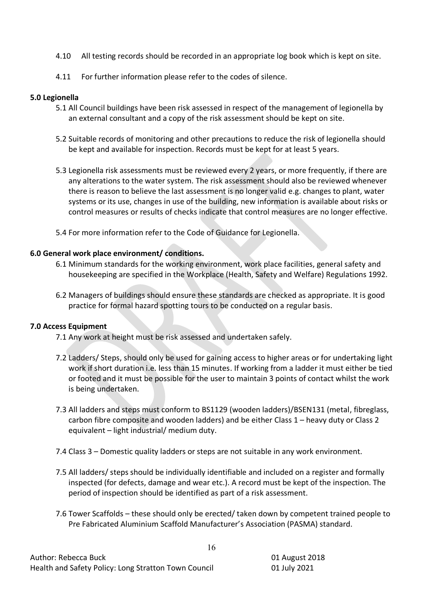- 4.10 All testing records should be recorded in an appropriate log book which is kept on site.
- 4.11 For further information please refer to the codes of silence.

#### **5.0 Legionella**

- 5.1 All Council buildings have been risk assessed in respect of the management of legionella by an external consultant and a copy of the risk assessment should be kept on site.
- 5.2 Suitable records of monitoring and other precautions to reduce the risk of legionella should be kept and available for inspection. Records must be kept for at least 5 years.
- 5.3 Legionella risk assessments must be reviewed every 2 years, or more frequently, if there are any alterations to the water system. The risk assessment should also be reviewed whenever there is reason to believe the last assessment is no longer valid e.g. changes to plant, water systems or its use, changes in use of the building, new information is available about risks or control measures or results of checks indicate that control measures are no longer effective.
- 5.4 For more information refer to the Code of Guidance for Legionella.

#### **6.0 General work place environment/ conditions.**

- 6.1 Minimum standards for the working environment, work place facilities, general safety and housekeeping are specified in the Workplace (Health, Safety and Welfare) Regulations 1992.
- 6.2 Managers of buildings should ensure these standards are checked as appropriate. It is good practice for formal hazard spotting tours to be conducted on a regular basis.

#### **7.0 Access Equipment**

- 7.1 Any work at height must be risk assessed and undertaken safely.
- 7.2 Ladders/ Steps, should only be used for gaining access to higher areas or for undertaking light work if short duration i.e. less than 15 minutes. If working from a ladder it must either be tied or footed and it must be possible for the user to maintain 3 points of contact whilst the work is being undertaken.
- 7.3 All ladders and steps must conform to BS1129 (wooden ladders)/BSEN131 (metal, fibreglass, carbon fibre composite and wooden ladders) and be either Class 1 – heavy duty or Class 2 equivalent – light industrial/ medium duty.
- 7.4 Class 3 Domestic quality ladders or steps are not suitable in any work environment.
- 7.5 All ladders/ steps should be individually identifiable and included on a register and formally inspected (for defects, damage and wear etc.). A record must be kept of the inspection. The period of inspection should be identified as part of a risk assessment.
- 7.6 Tower Scaffolds these should only be erected/ taken down by competent trained people to Pre Fabricated Aluminium Scaffold Manufacturer's Association (PASMA) standard.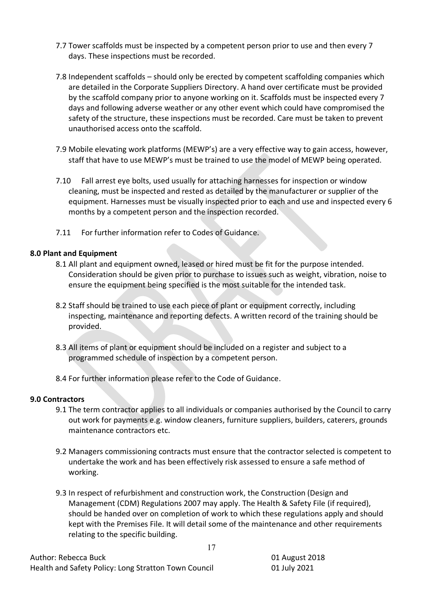- 7.7 Tower scaffolds must be inspected by a competent person prior to use and then every 7 days. These inspections must be recorded.
- 7.8 Independent scaffolds should only be erected by competent scaffolding companies which are detailed in the Corporate Suppliers Directory. A hand over certificate must be provided by the scaffold company prior to anyone working on it. Scaffolds must be inspected every 7 days and following adverse weather or any other event which could have compromised the safety of the structure, these inspections must be recorded. Care must be taken to prevent unauthorised access onto the scaffold.
- 7.9 Mobile elevating work platforms (MEWP's) are a very effective way to gain access, however, staff that have to use MEWP's must be trained to use the model of MEWP being operated.
- 7.10 Fall arrest eye bolts, used usually for attaching harnesses for inspection or window cleaning, must be inspected and rested as detailed by the manufacturer or supplier of the equipment. Harnesses must be visually inspected prior to each and use and inspected every 6 months by a competent person and the inspection recorded.
- 7.11 For further information refer to Codes of Guidance.

# **8.0 Plant and Equipment**

- 8.1 All plant and equipment owned, leased or hired must be fit for the purpose intended. Consideration should be given prior to purchase to issues such as weight, vibration, noise to ensure the equipment being specified is the most suitable for the intended task.
- 8.2 Staff should be trained to use each piece of plant or equipment correctly, including inspecting, maintenance and reporting defects. A written record of the training should be provided.
- 8.3 All items of plant or equipment should be included on a register and subject to a programmed schedule of inspection by a competent person.
- 8.4 For further information please refer to the Code of Guidance.

## **9.0 Contractors**

- 9.1 The term contractor applies to all individuals or companies authorised by the Council to carry out work for payments e.g. window cleaners, furniture suppliers, builders, caterers, grounds maintenance contractors etc.
- 9.2 Managers commissioning contracts must ensure that the contractor selected is competent to undertake the work and has been effectively risk assessed to ensure a safe method of working.
- 9.3 In respect of refurbishment and construction work, the Construction (Design and Management (CDM) Regulations 2007 may apply. The Health & Safety File (if required), should be handed over on completion of work to which these regulations apply and should kept with the Premises File. It will detail some of the maintenance and other requirements relating to the specific building.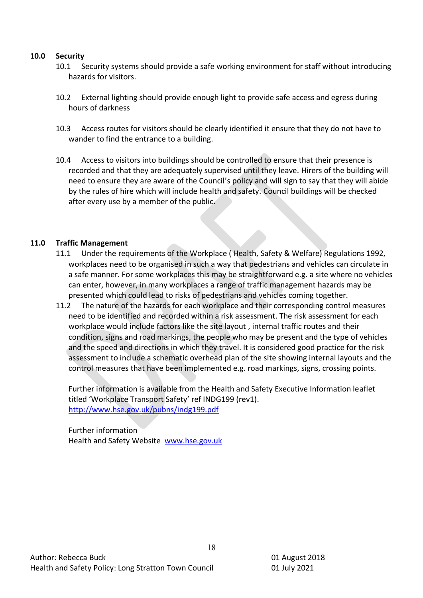#### **10.0 Security**

- 10.1 Security systems should provide a safe working environment for staff without introducing hazards for visitors.
- 10.2 External lighting should provide enough light to provide safe access and egress during hours of darkness
- 10.3 Access routes for visitors should be clearly identified it ensure that they do not have to wander to find the entrance to a building.
- 10.4 Access to visitors into buildings should be controlled to ensure that their presence is recorded and that they are adequately supervised until they leave. Hirers of the building will need to ensure they are aware of the Council's policy and will sign to say that they will abide by the rules of hire which will include health and safety. Council buildings will be checked after every use by a member of the public.

## **11.0 Traffic Management**

- 11.1 Under the requirements of the Workplace ( Health, Safety & Welfare) Regulations 1992, workplaces need to be organised in such a way that pedestrians and vehicles can circulate in a safe manner. For some workplaces this may be straightforward e.g. a site where no vehicles can enter, however, in many workplaces a range of traffic management hazards may be presented which could lead to risks of pedestrians and vehicles coming together.
- 11.2 The nature of the hazards for each workplace and their corresponding control measures need to be identified and recorded within a risk assessment. The risk assessment for each workplace would include factors like the site layout , internal traffic routes and their condition, signs and road markings, the people who may be present and the type of vehicles and the speed and directions in which they travel. It is considered good practice for the risk assessment to include a schematic overhead plan of the site showing internal layouts and the control measures that have been implemented e.g. road markings, signs, crossing points.

Further information is available from the Health and Safety Executive Information leaflet titled 'Workplace Transport Safety' ref INDG199 (rev1). <http://www.hse.gov.uk/pubns/indg199.pdf>

Further information Health and Safety Website [www.hse.gov.uk](http://www.hse.gov.uk/)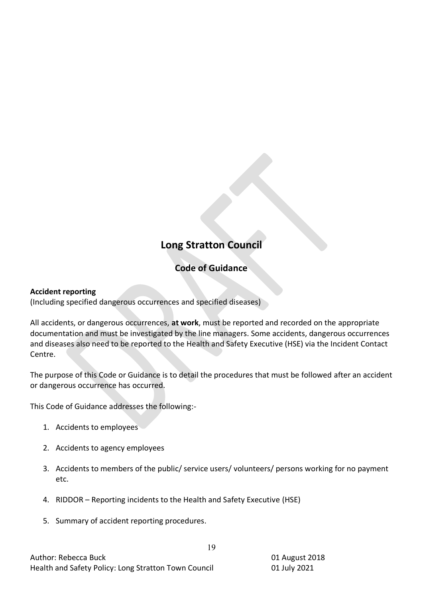# **Long Stratton Council**

# **Code of Guidance**

# **Accident reporting**

(Including specified dangerous occurrences and specified diseases)

All accidents, or dangerous occurrences, **at work**, must be reported and recorded on the appropriate documentation and must be investigated by the line managers. Some accidents, dangerous occurrences and diseases also need to be reported to the Health and Safety Executive (HSE) via the Incident Contact Centre.

The purpose of this Code or Guidance is to detail the procedures that must be followed after an accident or dangerous occurrence has occurred.

This Code of Guidance addresses the following:-

- 1. Accidents to employees
- 2. Accidents to agency employees
- 3. Accidents to members of the public/ service users/ volunteers/ persons working for no payment etc.

- 4. RIDDOR Reporting incidents to the Health and Safety Executive (HSE)
- 5. Summary of accident reporting procedures.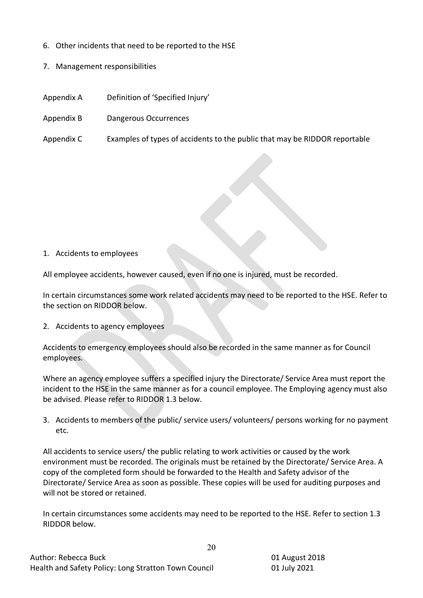- 6. Other incidents that need to be reported to the HSE
- 7. Management responsibilities
- Appendix A Definition of 'Specified Injury'
- Appendix B Dangerous Occurrences
- Appendix C Examples of types of accidents to the public that may be RIDDOR reportable

#### 1. Accidents to employees

All employee accidents, however caused, even if no one is injured, must be recorded.

In certain circumstances some work related accidents may need to be reported to the HSE. Refer to the section on RIDDOR below.

2. Accidents to agency employees

Accidents to emergency employees should also be recorded in the same manner as for Council employees.

Where an agency employee suffers a specified injury the Directorate/ Service Area must report the incident to the HSE in the same manner as for a council employee. The Employing agency must also be advised. Please refer to RIDDOR 1.3 below.

3. Accidents to members of the public/ service users/ volunteers/ persons working for no payment etc.

All accidents to service users/ the public relating to work activities or caused by the work environment must be recorded. The originals must be retained by the Directorate/ Service Area. A copy of the completed form should be forwarded to the Health and Safety advisor of the Directorate/ Service Area as soon as possible. These copies will be used for auditing purposes and will not be stored or retained.

In certain circumstances some accidents may need to be reported to the HSE. Refer to section 1.3 RIDDOR below.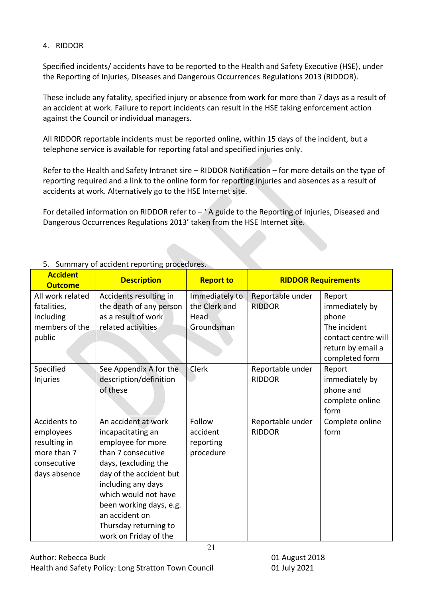# 4. RIDDOR

Specified incidents/ accidents have to be reported to the Health and Safety Executive (HSE), under the Reporting of Injuries, Diseases and Dangerous Occurrences Regulations 2013 (RIDDOR).

These include any fatality, specified injury or absence from work for more than 7 days as a result of an accident at work. Failure to report incidents can result in the HSE taking enforcement action against the Council or individual managers.

All RIDDOR reportable incidents must be reported online, within 15 days of the incident, but a telephone service is available for reporting fatal and specified injuries only.

Refer to the Health and Safety Intranet sire – RIDDOR Notification – for more details on the type of reporting required and a link to the online form for reporting injuries and absences as a result of accidents at work. Alternatively go to the HSE Internet site.

For detailed information on RIDDOR refer to  $-$  ' A guide to the Reporting of Injuries, Diseased and Dangerous Occurrences Regulations 2013' taken from the HSE Internet site.

| <b>Accident</b><br><b>Outcome</b>                                                       | <b>Description</b>                                                                                                                                                                                                                                                                  | <b>Report to</b>                                      | <b>RIDDOR Requirements</b>        |                                                                                                                 |
|-----------------------------------------------------------------------------------------|-------------------------------------------------------------------------------------------------------------------------------------------------------------------------------------------------------------------------------------------------------------------------------------|-------------------------------------------------------|-----------------------------------|-----------------------------------------------------------------------------------------------------------------|
| All work related<br>fatalities,<br>including<br>members of the<br>public                | Accidents resulting in<br>the death of any person<br>as a result of work<br>related activities                                                                                                                                                                                      | Immediately to<br>the Clerk and<br>Head<br>Groundsman | Reportable under<br><b>RIDDOR</b> | Report<br>immediately by<br>phone<br>The incident<br>contact centre will<br>return by email a<br>completed form |
| Specified<br>Injuries                                                                   | See Appendix A for the<br>description/definition<br>of these                                                                                                                                                                                                                        | Clerk                                                 | Reportable under<br><b>RIDDOR</b> | Report<br>immediately by<br>phone and<br>complete online<br>form                                                |
| Accidents to<br>employees<br>resulting in<br>more than 7<br>consecutive<br>days absence | An accident at work<br>incapacitating an<br>employee for more<br>than 7 consecutive<br>days, (excluding the<br>day of the accident but<br>including any days<br>which would not have<br>been working days, e.g.<br>an accident on<br>Thursday returning to<br>work on Friday of the | Follow<br>accident<br>reporting<br>procedure<br>21    | Reportable under<br><b>RIDDOR</b> | Complete online<br>form                                                                                         |

# 5. Summary of accident reporting procedures.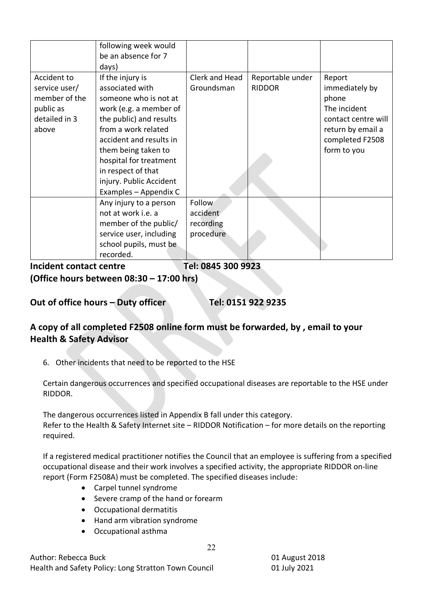|                                                                                      | following week would<br>be an absence for 7<br>days)                                                                                                                                                                                                                                           |                                              |                                   |                                                                                                                                 |
|--------------------------------------------------------------------------------------|------------------------------------------------------------------------------------------------------------------------------------------------------------------------------------------------------------------------------------------------------------------------------------------------|----------------------------------------------|-----------------------------------|---------------------------------------------------------------------------------------------------------------------------------|
| Accident to<br>service user/<br>member of the<br>public as<br>detailed in 3<br>above | If the injury is<br>associated with<br>someone who is not at<br>work (e.g. a member of<br>the public) and results<br>from a work related<br>accident and results in<br>them being taken to<br>hospital for treatment<br>in respect of that<br>injury. Public Accident<br>Examples - Appendix C | Clerk and Head<br>Groundsman                 | Reportable under<br><b>RIDDOR</b> | Report<br>immediately by<br>phone<br>The incident<br>contact centre will<br>return by email a<br>completed F2508<br>form to you |
|                                                                                      | Any injury to a person<br>not at work i.e. a<br>member of the public/<br>service user, including<br>school pupils, must be<br>recorded.                                                                                                                                                        | Follow<br>accident<br>recording<br>procedure |                                   |                                                                                                                                 |

**Incident contact centre Tel: 0845 300 9923**

**(Office hours between 08:30 – 17:00 hrs)** 

# **Out of office hours – Duty officer Tel: 0151 922 9235**

# **A copy of all completed F2508 online form must be forwarded, by , email to your Health & Safety Advisor**

6. Other incidents that need to be reported to the HSE

Certain dangerous occurrences and specified occupational diseases are reportable to the HSE under RIDDOR.

The dangerous occurrences listed in Appendix B fall under this category. Refer to the Health & Safety Internet site – RIDDOR Notification – for more details on the reporting required.

If a registered medical practitioner notifies the Council that an employee is suffering from a specified occupational disease and their work involves a specified activity, the appropriate RIDDOR on-line report (Form F2508A) must be completed. The specified diseases include:

22

- Carpel tunnel syndrome
- Severe cramp of the hand or forearm
- Occupational dermatitis
- Hand arm vibration syndrome
- Occupational asthma

Author: Rebecca Buck 01 August 2018 Health and Safety Policy: Long Stratton Town Council 01 July 2021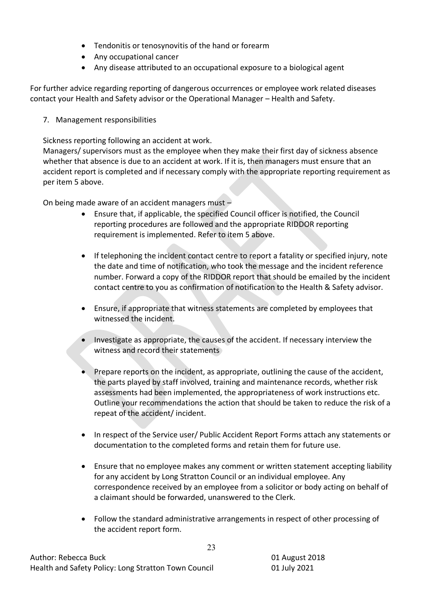- Tendonitis or tenosynovitis of the hand or forearm
- Any occupational cancer
- Any disease attributed to an occupational exposure to a biological agent

For further advice regarding reporting of dangerous occurrences or employee work related diseases contact your Health and Safety advisor or the Operational Manager – Health and Safety.

7. Management responsibilities

Sickness reporting following an accident at work.

Managers/ supervisors must as the employee when they make their first day of sickness absence whether that absence is due to an accident at work. If it is, then managers must ensure that an accident report is completed and if necessary comply with the appropriate reporting requirement as per item 5 above.

On being made aware of an accident managers must  $-$ 

- Ensure that, if applicable, the specified Council officer is notified, the Council reporting procedures are followed and the appropriate RIDDOR reporting requirement is implemented. Refer to item 5 above.
- If telephoning the incident contact centre to report a fatality or specified injury, note the date and time of notification, who took the message and the incident reference number. Forward a copy of the RIDDOR report that should be emailed by the incident contact centre to you as confirmation of notification to the Health & Safety advisor.
- Ensure, if appropriate that witness statements are completed by employees that witnessed the incident.
- Investigate as appropriate, the causes of the accident. If necessary interview the witness and record their statements
- Prepare reports on the incident, as appropriate, outlining the cause of the accident, the parts played by staff involved, training and maintenance records, whether risk assessments had been implemented, the appropriateness of work instructions etc. Outline your recommendations the action that should be taken to reduce the risk of a repeat of the accident/ incident.
- In respect of the Service user/ Public Accident Report Forms attach any statements or documentation to the completed forms and retain them for future use.
- Ensure that no employee makes any comment or written statement accepting liability for any accident by Long Stratton Council or an individual employee. Any correspondence received by an employee from a solicitor or body acting on behalf of a claimant should be forwarded, unanswered to the Clerk.
- Follow the standard administrative arrangements in respect of other processing of the accident report form.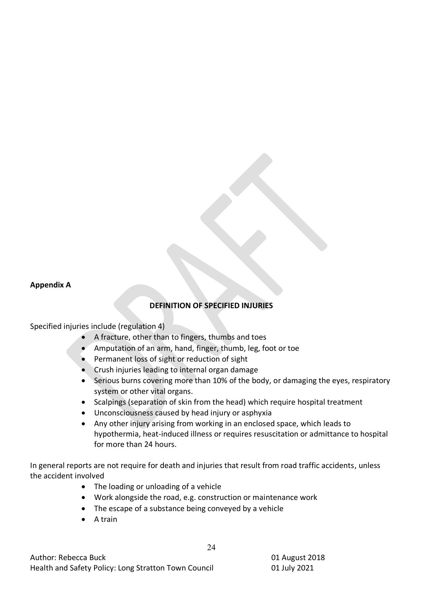#### **Appendix A**

## **DEFINITION OF SPECIFIED INJURIES**

Specified injuries include (regulation 4)

- A fracture, other than to fingers, thumbs and toes
- Amputation of an arm, hand, finger, thumb, leg, foot or toe
- Permanent loss of sight or reduction of sight
- Crush injuries leading to internal organ damage
- Serious burns covering more than 10% of the body, or damaging the eyes, respiratory system or other vital organs.
- Scalpings (separation of skin from the head) which require hospital treatment
- Unconsciousness caused by head injury or asphyxia
- Any other injury arising from working in an enclosed space, which leads to hypothermia, heat-induced illness or requires resuscitation or admittance to hospital for more than 24 hours.

In general reports are not require for death and injuries that result from road traffic accidents, unless the accident involved

- The loading or unloading of a vehicle
- Work alongside the road, e.g. construction or maintenance work
- The escape of a substance being conveyed by a vehicle
- A train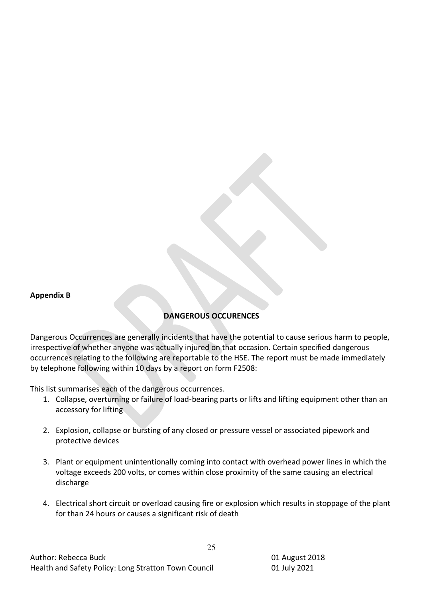#### **Appendix B**

# **DANGEROUS OCCURENCES**

Dangerous Occurrences are generally incidents that have the potential to cause serious harm to people, irrespective of whether anyone was actually injured on that occasion. Certain specified dangerous occurrences relating to the following are reportable to the HSE. The report must be made immediately by telephone following within 10 days by a report on form F2508:

This list summarises each of the dangerous occurrences.

- 1. Collapse, overturning or failure of load-bearing parts or lifts and lifting equipment other than an accessory for lifting
- 2. Explosion, collapse or bursting of any closed or pressure vessel or associated pipework and protective devices
- 3. Plant or equipment unintentionally coming into contact with overhead power lines in which the voltage exceeds 200 volts, or comes within close proximity of the same causing an electrical discharge
- 4. Electrical short circuit or overload causing fire or explosion which results in stoppage of the plant for than 24 hours or causes a significant risk of death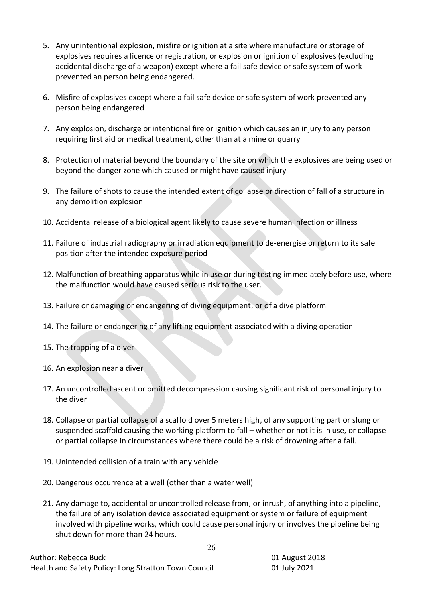- 5. Any unintentional explosion, misfire or ignition at a site where manufacture or storage of explosives requires a licence or registration, or explosion or ignition of explosives (excluding accidental discharge of a weapon) except where a fail safe device or safe system of work prevented an person being endangered.
- 6. Misfire of explosives except where a fail safe device or safe system of work prevented any person being endangered
- 7. Any explosion, discharge or intentional fire or ignition which causes an injury to any person requiring first aid or medical treatment, other than at a mine or quarry
- 8. Protection of material beyond the boundary of the site on which the explosives are being used or beyond the danger zone which caused or might have caused injury
- 9. The failure of shots to cause the intended extent of collapse or direction of fall of a structure in any demolition explosion
- 10. Accidental release of a biological agent likely to cause severe human infection or illness
- 11. Failure of industrial radiography or irradiation equipment to de-energise or return to its safe position after the intended exposure period
- 12. Malfunction of breathing apparatus while in use or during testing immediately before use, where the malfunction would have caused serious risk to the user.
- 13. Failure or damaging or endangering of diving equipment, or of a dive platform
- 14. The failure or endangering of any lifting equipment associated with a diving operation
- 15. The trapping of a diver
- 16. An explosion near a diver
- 17. An uncontrolled ascent or omitted decompression causing significant risk of personal injury to the diver
- 18. Collapse or partial collapse of a scaffold over 5 meters high, of any supporting part or slung or suspended scaffold causing the working platform to fall – whether or not it is in use, or collapse or partial collapse in circumstances where there could be a risk of drowning after a fall.
- 19. Unintended collision of a train with any vehicle
- 20. Dangerous occurrence at a well (other than a water well)
- 21. Any damage to, accidental or uncontrolled release from, or inrush, of anything into a pipeline, the failure of any isolation device associated equipment or system or failure of equipment involved with pipeline works, which could cause personal injury or involves the pipeline being shut down for more than 24 hours.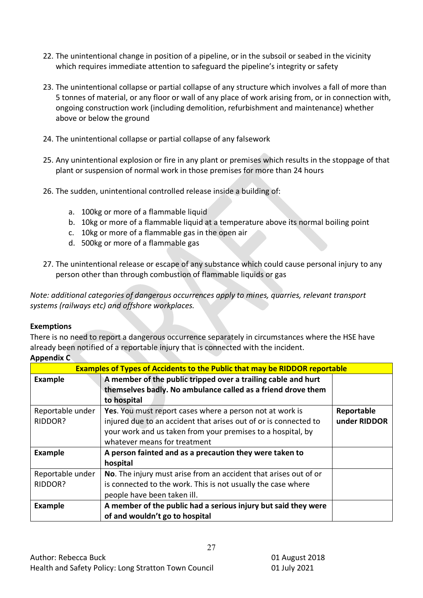- 22. The unintentional change in position of a pipeline, or in the subsoil or seabed in the vicinity which requires immediate attention to safeguard the pipeline's integrity or safety
- 23. The unintentional collapse or partial collapse of any structure which involves a fall of more than 5 tonnes of material, or any floor or wall of any place of work arising from, or in connection with, ongoing construction work (including demolition, refurbishment and maintenance) whether above or below the ground
- 24. The unintentional collapse or partial collapse of any falsework
- 25. Any unintentional explosion or fire in any plant or premises which results in the stoppage of that plant or suspension of normal work in those premises for more than 24 hours
- 26. The sudden, unintentional controlled release inside a building of:
	- a. 100kg or more of a flammable liquid
	- b. 10kg or more of a flammable liquid at a temperature above its normal boiling point
	- c. 10kg or more of a flammable gas in the open air
	- d. 500kg or more of a flammable gas
- 27. The unintentional release or escape of any substance which could cause personal injury to any person other than through combustion of flammable liquids or gas

*Note: additional categories of dangerous occurrences apply to mines, quarries, relevant transport systems (railways etc) and offshore workplaces.*

## **Exemptions**

There is no need to report a dangerous occurrence separately in circumstances where the HSE have already been notified of a reportable injury that is connected with the incident.

## **Appendix C**

| <b>Examples of Types of Accidents to the Public that may be RIDDOR reportable</b> |                                                                  |              |  |
|-----------------------------------------------------------------------------------|------------------------------------------------------------------|--------------|--|
| <b>Example</b>                                                                    | A member of the public tripped over a trailing cable and hurt    |              |  |
|                                                                                   | themselves badly. No ambulance called as a friend drove them     |              |  |
|                                                                                   | to hospital                                                      |              |  |
| Reportable under                                                                  | Yes. You must report cases where a person not at work is         | Reportable   |  |
| RIDDOR?                                                                           | injured due to an accident that arises out of or is connected to | under RIDDOR |  |
|                                                                                   | your work and us taken from your premises to a hospital, by      |              |  |
|                                                                                   | whatever means for treatment                                     |              |  |
| <b>Example</b>                                                                    | A person fainted and as a precaution they were taken to          |              |  |
|                                                                                   | hospital                                                         |              |  |
| Reportable under                                                                  | No. The injury must arise from an accident that arises out of or |              |  |
| RIDDOR?                                                                           | is connected to the work. This is not usually the case where     |              |  |
|                                                                                   | people have been taken ill.                                      |              |  |
| <b>Example</b>                                                                    | A member of the public had a serious injury but said they were   |              |  |
|                                                                                   | of and wouldn't go to hospital                                   |              |  |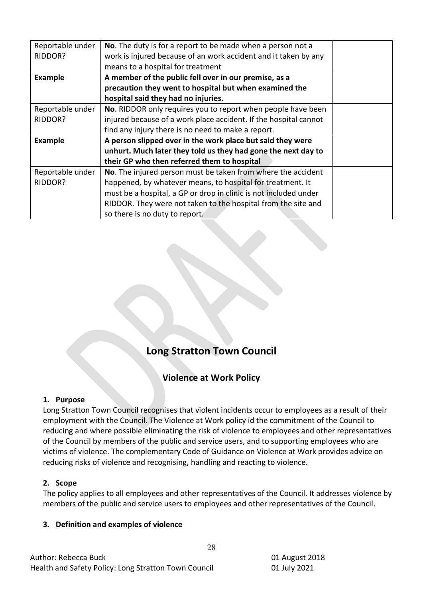| Reportable under | No. The duty is for a report to be made when a person not a      |  |
|------------------|------------------------------------------------------------------|--|
| RIDDOR?          | work is injured because of an work accident and it taken by any  |  |
|                  | means to a hospital for treatment                                |  |
| <b>Example</b>   | A member of the public fell over in our premise, as a            |  |
|                  | precaution they went to hospital but when examined the           |  |
|                  | hospital said they had no injuries.                              |  |
| Reportable under | No. RIDDOR only requires you to report when people have been     |  |
| RIDDOR?          | injured because of a work place accident. If the hospital cannot |  |
|                  | find any injury there is no need to make a report.               |  |
| <b>Example</b>   | A person slipped over in the work place but said they were       |  |
|                  | unhurt. Much later they told us they had gone the next day to    |  |
|                  | their GP who then referred them to hospital                      |  |
| Reportable under | No. The injured person must be taken from where the accident     |  |
| RIDDOR?          | happened, by whatever means, to hospital for treatment. It       |  |
|                  | must be a hospital, a GP or drop in clinic is not included under |  |
|                  | RIDDOR. They were not taken to the hospital from the site and    |  |
|                  | so there is no duty to report.                                   |  |

# **Long Stratton Town Council**

# **Violence at Work Policy**

## **1. Purpose**

Long Stratton Town Council recognises that violent incidents occur to employees as a result of their employment with the Council. The Violence at Work policy id the commitment of the Council to reducing and where possible eliminating the risk of violence to employees and other representatives of the Council by members of the public and service users, and to supporting employees who are victims of violence. The complementary Code of Guidance on Violence at Work provides advice on reducing risks of violence and recognising, handling and reacting to violence.

## **2. Scope**

The policy applies to all employees and other representatives of the Council. It addresses violence by members of the public and service users to employees and other representatives of the Council.

28

#### **3. Definition and examples of violence**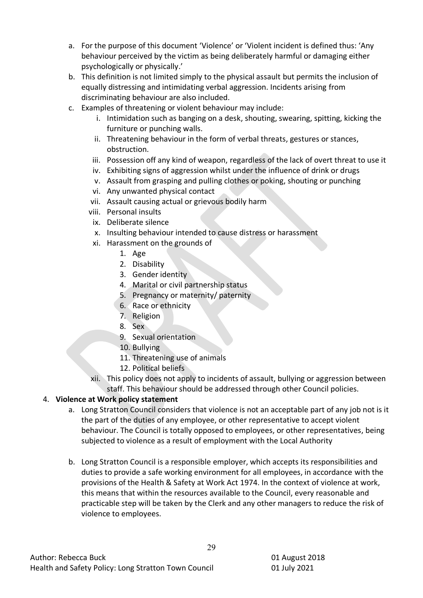- a. For the purpose of this document 'Violence' or 'Violent incident is defined thus: 'Any behaviour perceived by the victim as being deliberately harmful or damaging either psychologically or physically.'
- b. This definition is not limited simply to the physical assault but permits the inclusion of equally distressing and intimidating verbal aggression. Incidents arising from discriminating behaviour are also included.
- c. Examples of threatening or violent behaviour may include:
	- i. Intimidation such as banging on a desk, shouting, swearing, spitting, kicking the furniture or punching walls.
	- ii. Threatening behaviour in the form of verbal threats, gestures or stances, obstruction.
	- iii. Possession off any kind of weapon, regardless of the lack of overt threat to use it
	- iv. Exhibiting signs of aggression whilst under the influence of drink or drugs
	- v. Assault from grasping and pulling clothes or poking, shouting or punching
	- vi. Any unwanted physical contact
	- vii. Assault causing actual or grievous bodily harm
	- viii. Personal insults
		- ix. Deliberate silence
		- x. Insulting behaviour intended to cause distress or harassment
	- xi. Harassment on the grounds of
		- 1. Age
		- 2. Disability
		- 3. Gender identity
		- 4. Marital or civil partnership status
		- 5. Pregnancy or maternity/ paternity
		- 6. Race or ethnicity
		- 7. Religion
		- 8. Sex
		- 9. Sexual orientation
		- 10. Bullying
		- 11. Threatening use of animals
		- 12. Political beliefs
	- xii. This policy does not apply to incidents of assault, bullying or aggression between staff. This behaviour should be addressed through other Council policies.

# 4. **Violence at Work policy statement**

- a. Long Stratton Council considers that violence is not an acceptable part of any job not is it the part of the duties of any employee, or other representative to accept violent behaviour. The Council is totally opposed to employees, or other representatives, being subjected to violence as a result of employment with the Local Authority
- b. Long Stratton Council is a responsible employer, which accepts its responsibilities and duties to provide a safe working environment for all employees, in accordance with the provisions of the Health & Safety at Work Act 1974. In the context of violence at work, this means that within the resources available to the Council, every reasonable and practicable step will be taken by the Clerk and any other managers to reduce the risk of violence to employees.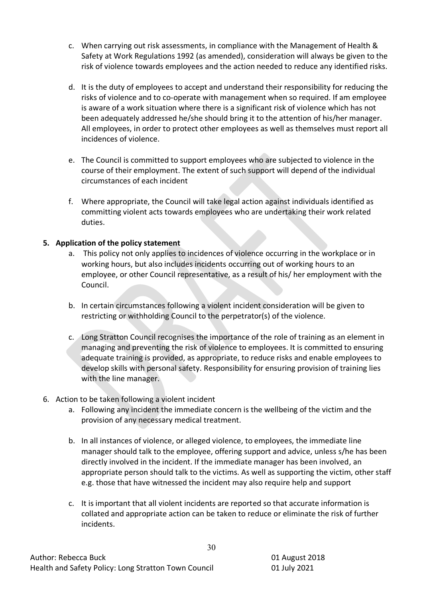- c. When carrying out risk assessments, in compliance with the Management of Health & Safety at Work Regulations 1992 (as amended), consideration will always be given to the risk of violence towards employees and the action needed to reduce any identified risks.
- d. It is the duty of employees to accept and understand their responsibility for reducing the risks of violence and to co-operate with management when so required. If am employee is aware of a work situation where there is a significant risk of violence which has not been adequately addressed he/she should bring it to the attention of his/her manager. All employees, in order to protect other employees as well as themselves must report all incidences of violence.
- e. The Council is committed to support employees who are subjected to violence in the course of their employment. The extent of such support will depend of the individual circumstances of each incident
- f. Where appropriate, the Council will take legal action against individuals identified as committing violent acts towards employees who are undertaking their work related duties.

# **5. Application of the policy statement**

- a. This policy not only applies to incidences of violence occurring in the workplace or in working hours, but also includes incidents occurring out of working hours to an employee, or other Council representative, as a result of his/ her employment with the Council.
- b. In certain circumstances following a violent incident consideration will be given to restricting or withholding Council to the perpetrator(s) of the violence.
- c. Long Stratton Council recognises the importance of the role of training as an element in managing and preventing the risk of violence to employees. It is committed to ensuring adequate training is provided, as appropriate, to reduce risks and enable employees to develop skills with personal safety. Responsibility for ensuring provision of training lies with the line manager.
- 6. Action to be taken following a violent incident
	- a. Following any incident the immediate concern is the wellbeing of the victim and the provision of any necessary medical treatment.
	- b. In all instances of violence, or alleged violence, to employees, the immediate line manager should talk to the employee, offering support and advice, unless s/he has been directly involved in the incident. If the immediate manager has been involved, an appropriate person should talk to the victims. As well as supporting the victim, other staff e.g. those that have witnessed the incident may also require help and support
	- c. It is important that all violent incidents are reported so that accurate information is collated and appropriate action can be taken to reduce or eliminate the risk of further incidents.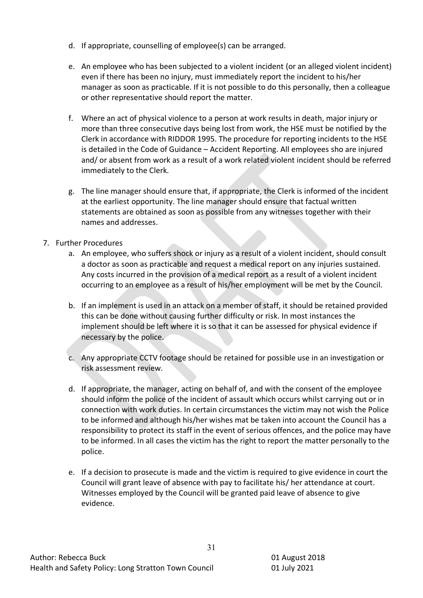- d. If appropriate, counselling of employee(s) can be arranged.
- e. An employee who has been subjected to a violent incident (or an alleged violent incident) even if there has been no injury, must immediately report the incident to his/her manager as soon as practicable. If it is not possible to do this personally, then a colleague or other representative should report the matter.
- f. Where an act of physical violence to a person at work results in death, major injury or more than three consecutive days being lost from work, the HSE must be notified by the Clerk in accordance with RIDDOR 1995. The procedure for reporting incidents to the HSE is detailed in the Code of Guidance – Accident Reporting. All employees sho are injured and/ or absent from work as a result of a work related violent incident should be referred immediately to the Clerk.
- g. The line manager should ensure that, if appropriate, the Clerk is informed of the incident at the earliest opportunity. The line manager should ensure that factual written statements are obtained as soon as possible from any witnesses together with their names and addresses.
- 7. Further Procedures
	- a. An employee, who suffers shock or injury as a result of a violent incident, should consult a doctor as soon as practicable and request a medical report on any injuries sustained. Any costs incurred in the provision of a medical report as a result of a violent incident occurring to an employee as a result of his/her employment will be met by the Council.
	- b. If an implement is used in an attack on a member of staff, it should be retained provided this can be done without causing further difficulty or risk. In most instances the implement should be left where it is so that it can be assessed for physical evidence if necessary by the police.
	- c. Any appropriate CCTV footage should be retained for possible use in an investigation or risk assessment review.
	- d. If appropriate, the manager, acting on behalf of, and with the consent of the employee should inform the police of the incident of assault which occurs whilst carrying out or in connection with work duties. In certain circumstances the victim may not wish the Police to be informed and although his/her wishes mat be taken into account the Council has a responsibility to protect its staff in the event of serious offences, and the police may have to be informed. In all cases the victim has the right to report the matter personally to the police.
	- e. If a decision to prosecute is made and the victim is required to give evidence in court the Council will grant leave of absence with pay to facilitate his/ her attendance at court. Witnesses employed by the Council will be granted paid leave of absence to give evidence.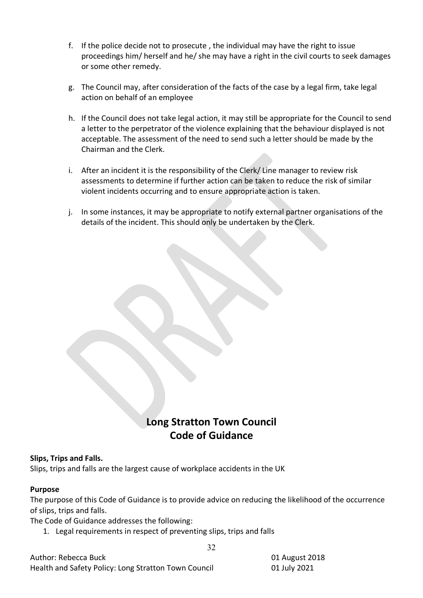- f. If the police decide not to prosecute , the individual may have the right to issue proceedings him/ herself and he/ she may have a right in the civil courts to seek damages or some other remedy.
- g. The Council may, after consideration of the facts of the case by a legal firm, take legal action on behalf of an employee
- h. If the Council does not take legal action, it may still be appropriate for the Council to send a letter to the perpetrator of the violence explaining that the behaviour displayed is not acceptable. The assessment of the need to send such a letter should be made by the Chairman and the Clerk.
- i. After an incident it is the responsibility of the Clerk/ Line manager to review risk assessments to determine if further action can be taken to reduce the risk of similar violent incidents occurring and to ensure appropriate action is taken.
- j. In some instances, it may be appropriate to notify external partner organisations of the details of the incident. This should only be undertaken by the Clerk.

# **Long Stratton Town Council Code of Guidance**

## **Slips, Trips and Falls.**

Slips, trips and falls are the largest cause of workplace accidents in the UK

#### **Purpose**

The purpose of this Code of Guidance is to provide advice on reducing the likelihood of the occurrence of slips, trips and falls.

32

The Code of Guidance addresses the following:

1. Legal requirements in respect of preventing slips, trips and falls

Author: Rebecca Buck 01 August 2018 Health and Safety Policy: Long Stratton Town Council 01 July 2021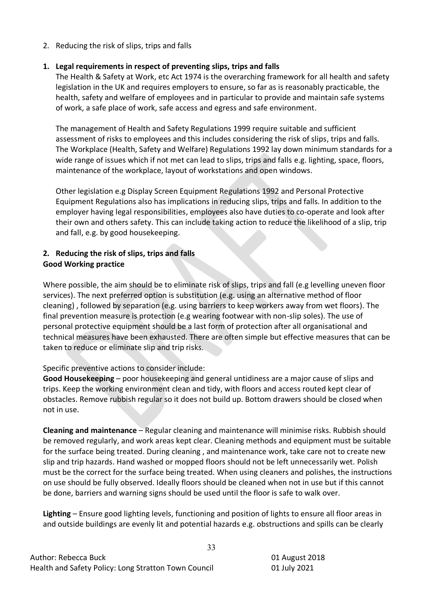2. Reducing the risk of slips, trips and falls

# **1. Legal requirements in respect of preventing slips, trips and falls**

The Health & Safety at Work, etc Act 1974 is the overarching framework for all health and safety legislation in the UK and requires employers to ensure, so far as is reasonably practicable, the health, safety and welfare of employees and in particular to provide and maintain safe systems of work, a safe place of work, safe access and egress and safe environment.

The management of Health and Safety Regulations 1999 require suitable and sufficient assessment of risks to employees and this includes considering the risk of slips, trips and falls. The Workplace (Health, Safety and Welfare) Regulations 1992 lay down minimum standards for a wide range of issues which if not met can lead to slips, trips and falls e.g. lighting, space, floors, maintenance of the workplace, layout of workstations and open windows.

Other legislation e.g Display Screen Equipment Regulations 1992 and Personal Protective Equipment Regulations also has implications in reducing slips, trips and falls. In addition to the employer having legal responsibilities, employees also have duties to co-operate and look after their own and others safety. This can include taking action to reduce the likelihood of a slip, trip and fall, e.g. by good housekeeping.

# **2. Reducing the risk of slips, trips and falls Good Working practice**

Where possible, the aim should be to eliminate risk of slips, trips and fall (e.g levelling uneven floor services). The next preferred option is substitution (e.g. using an alternative method of floor cleaning) , followed by separation (e.g. using barriers to keep workers away from wet floors). The final prevention measure is protection (e.g wearing footwear with non-slip soles). The use of personal protective equipment should be a last form of protection after all organisational and technical measures have been exhausted. There are often simple but effective measures that can be taken to reduce or eliminate slip and trip risks.

Specific preventive actions to consider include:

**Good Housekeeping** – poor housekeeping and general untidiness are a major cause of slips and trips. Keep the working environment clean and tidy, with floors and access routed kept clear of obstacles. Remove rubbish regular so it does not build up. Bottom drawers should be closed when not in use.

**Cleaning and maintenance** – Regular cleaning and maintenance will minimise risks. Rubbish should be removed regularly, and work areas kept clear. Cleaning methods and equipment must be suitable for the surface being treated. During cleaning , and maintenance work, take care not to create new slip and trip hazards. Hand washed or mopped floors should not be left unnecessarily wet. Polish must be the correct for the surface being treated. When using cleaners and polishes, the instructions on use should be fully observed. Ideally floors should be cleaned when not in use but if this cannot be done, barriers and warning signs should be used until the floor is safe to walk over.

**Lighting** – Ensure good lighting levels, functioning and position of lights to ensure all floor areas in and outside buildings are evenly lit and potential hazards e.g. obstructions and spills can be clearly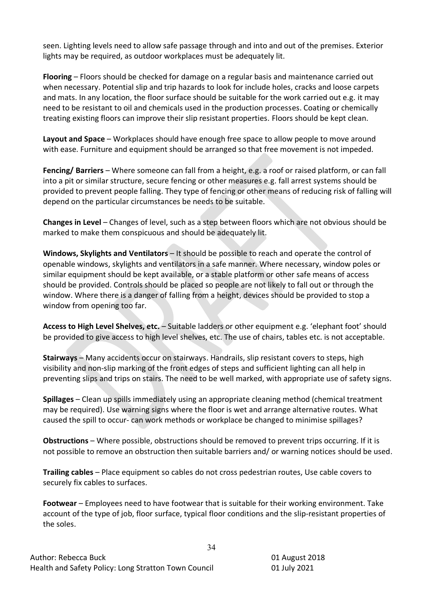seen. Lighting levels need to allow safe passage through and into and out of the premises. Exterior lights may be required, as outdoor workplaces must be adequately lit.

**Flooring** – Floors should be checked for damage on a regular basis and maintenance carried out when necessary. Potential slip and trip hazards to look for include holes, cracks and loose carpets and mats. In any location, the floor surface should be suitable for the work carried out e.g. it may need to be resistant to oil and chemicals used in the production processes. Coating or chemically treating existing floors can improve their slip resistant properties. Floors should be kept clean.

**Layout and Space** – Workplaces should have enough free space to allow people to move around with ease. Furniture and equipment should be arranged so that free movement is not impeded.

**Fencing/ Barriers** – Where someone can fall from a height, e.g. a roof or raised platform, or can fall into a pit or similar structure, secure fencing or other measures e.g. fall arrest systems should be provided to prevent people falling. They type of fencing or other means of reducing risk of falling will depend on the particular circumstances be needs to be suitable.

**Changes in Level** – Changes of level, such as a step between floors which are not obvious should be marked to make them conspicuous and should be adequately lit.

**Windows, Skylights and Ventilators** – It should be possible to reach and operate the control of openable windows, skylights and ventilators in a safe manner. Where necessary, window poles or similar equipment should be kept available, or a stable platform or other safe means of access should be provided. Controls should be placed so people are not likely to fall out or through the window. Where there is a danger of falling from a height, devices should be provided to stop a window from opening too far.

**Access to High Level Shelves, etc.** – Suitable ladders or other equipment e.g. 'elephant foot' should be provided to give access to high level shelves, etc. The use of chairs, tables etc. is not acceptable.

**Stairways** – Many accidents occur on stairways. Handrails, slip resistant covers to steps, high visibility and non-slip marking of the front edges of steps and sufficient lighting can all help in preventing slips and trips on stairs. The need to be well marked, with appropriate use of safety signs.

**Spillages** – Clean up spills immediately using an appropriate cleaning method (chemical treatment may be required). Use warning signs where the floor is wet and arrange alternative routes. What caused the spill to occur- can work methods or workplace be changed to minimise spillages?

**Obstructions** – Where possible, obstructions should be removed to prevent trips occurring. If it is not possible to remove an obstruction then suitable barriers and/ or warning notices should be used.

**Trailing cables** – Place equipment so cables do not cross pedestrian routes, Use cable covers to securely fix cables to surfaces.

**Footwear** – Employees need to have footwear that is suitable for their working environment. Take account of the type of job, floor surface, typical floor conditions and the slip-resistant properties of the soles.